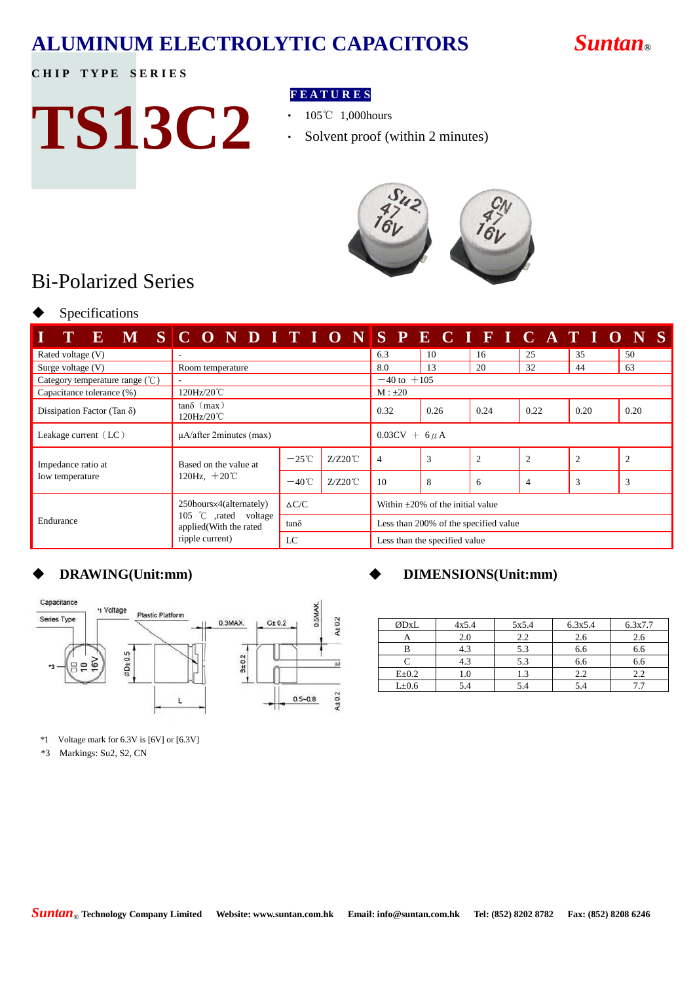# **ALUMINUM ELECTROLYTIC CAPACITORS** *Suntan***®**

## **CHIP TYPE SERIES**

# **TS13C2**

## **F E A T U R E S**

- 105℃ 1,000hours
- ‧ Solvent proof (within 2 minutes)



# Bi-Polarized Series

Specifications

|                                                          | E M SCONDITIONSPECIFICATIO                       |                 |                   |                                        |                        |                |                |      | - S            |  |
|----------------------------------------------------------|--------------------------------------------------|-----------------|-------------------|----------------------------------------|------------------------|----------------|----------------|------|----------------|--|
| Rated voltage (V)                                        | $\sim$                                           | 6.3             | 10                | 16                                     | 25                     | 35             | 50             |      |                |  |
| Surge voltage $(V)$                                      | Room temperature                                 |                 |                   | 8.0                                    | 13                     | 20             | 32             | 44   | 63             |  |
| Category temperature range $(\degree\text{C})$<br>$\sim$ |                                                  |                 |                   |                                        | $-40 \text{ to } +105$ |                |                |      |                |  |
| Capacitance tolerance (%)                                | 120Hz/20℃                                        | $M : \pm 20$    |                   |                                        |                        |                |                |      |                |  |
| Dissipation Factor (Tan $\delta$ )                       | $tan\delta$ (max)<br>120Hz/20℃                   |                 |                   |                                        | 0.26                   | 0.24           | 0.22           | 0.20 | 0.20           |  |
| Leakage current $(LC)$                                   | $\mu$ A/after 2minutes (max)                     |                 |                   | $0.03CV + 6 \mu A$                     |                        |                |                |      |                |  |
| Impedance ratio at                                       | Based on the value at<br>120Hz, $+20^{\circ}$ C  | $-25^{\circ}$ C | $Z/Z20^{\circ}C$  | 4                                      | 3                      | $\overline{2}$ | $\overline{c}$ | 2    | $\overline{2}$ |  |
| Iow temperature                                          |                                                  | $-40^{\circ}$ C | $Z/Z20^{\circ}$ C | 10                                     | 8                      | 6              | 4              | 3    | 3              |  |
| Endurance                                                | 250hours×4(alternately)<br>105 °C ,rated voltage | $\Delta C/C$    |                   | Within $\pm 20\%$ of the initial value |                        |                |                |      |                |  |
|                                                          | applied(With the rated<br>ripple current)        | $tan\delta$     |                   | Less than 200% of the specified value  |                        |                |                |      |                |  |
|                                                          |                                                  | LC              |                   | Less than the specified value          |                        |                |                |      |                |  |



\*1 Voltage mark for 6.3V is [6V] or [6.3V]

\*3 Markings: Su2, S2, CN

## **DRAWING(Unit:mm)** ◆ **DIMENSIONS(Unit:mm)**

| ØDxL        | 4x5.4 | 5x5.4 | 6.3x5.4 | 6.3x7.7 |
|-------------|-------|-------|---------|---------|
|             | 2.0   | 2.2   | 2.6     | 2.6     |
|             | 4.3   | 5.3   | 6.6     | 6.6     |
|             | 4.3   | 5.3   | 6.6     | 6.6     |
| $E \pm 0.2$ | 1.0   |       | 2.2     |         |
| $L\pm 0.6$  | 5.4   |       | 5.4     |         |